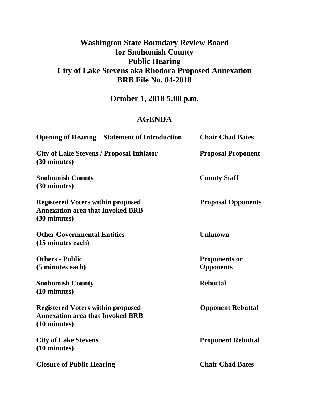# **Washington State Boundary Review Board for Snohomish County Public Hearing City of Lake Stevens aka Rhodora Proposed Annexation BRB File No. 04-2018**

**October 1, 2018 5:00 p.m.**

## **AGENDA**

| <b>Opening of Hearing – Statement of Introduction</b>                                               | <b>Chair Chad Bates</b>                  |
|-----------------------------------------------------------------------------------------------------|------------------------------------------|
| <b>City of Lake Stevens / Proposal Initiator</b><br>(30 minutes)                                    | <b>Proposal Proponent</b>                |
| <b>Snohomish County</b><br>(30 minutes)                                                             | <b>County Staff</b>                      |
| <b>Registered Voters within proposed</b><br><b>Annexation area that Invoked BRB</b><br>(30 minutes) | <b>Proposal Opponents</b>                |
| <b>Other Governmental Entities</b><br>(15 minutes each)                                             | <b>Unknown</b>                           |
| <b>Others - Public</b><br>(5 minutes each)                                                          | <b>Proponents or</b><br><b>Opponents</b> |
| <b>Snohomish County</b><br>(10 minutes)                                                             | <b>Rebuttal</b>                          |
| <b>Registered Voters within proposed</b><br><b>Annexation area that Invoked BRB</b><br>(10 minutes) | <b>Opponent Rebuttal</b>                 |
| <b>City of Lake Stevens</b><br>(10 minutes)                                                         | <b>Proponent Rebuttal</b>                |
| <b>Closure of Public Hearing</b>                                                                    | <b>Chair Chad Bates</b>                  |